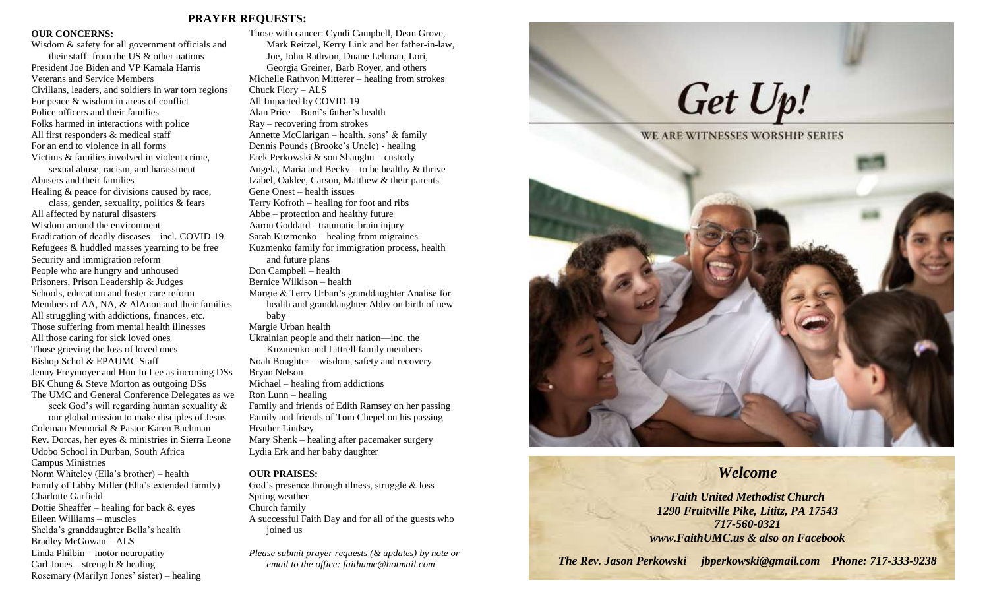### **PRAYER REQUESTS:**

### **OUR CONCERNS:**

Wisdom & safety for all government officials and their staff- from the US & other nations President Joe Biden and VP Kamala Harris Veterans and Service Members Civilians, leaders, and soldiers in war torn regions For peace & wisdom in areas of conflict Police officers and their families Folks harmed in interactions with police All first responders & medical staff For an end to violence in all forms Victims & families involved in violent crime, sexual abuse, racism, and harassment Abusers and their families Healing & peace for divisions caused by race, class, gender, sexuality, politics & fears All affected by natural disasters Wisdom around the environment Eradication of deadly diseases—incl. COVID-19 Refugees & huddled masses yearning to be free Security and immigration reform People who are hungry and unhoused Prisoners, Prison Leadership & Judges Schools, education and foster care reform Members of AA, NA, & AlAnon and their families All struggling with addictions, finances, etc. Those suffering from mental health illnesses All those caring for sick loved ones Those grieving the loss of loved ones Bishop Schol & EPAUMC Staff Jenny Freymoyer and Hun Ju Lee as incoming DSs BK Chung & Steve Morton as outgoing DSs The UMC and General Conference Delegates as we seek God's will regarding human sexuality & our global mission to make disciples of Jesus Coleman Memorial & Pastor Karen Bachman Rev. Dorcas, her eyes & ministries in Sierra Leone Udobo School in Durban, South Africa Campus Ministries Norm Whiteley (Ella's brother) – health Family of Libby Miller (Ella's extended family) Charlotte Garfield Dottie Sheaffer – healing for back  $\&$  eyes Eileen Williams – muscles Shelda's granddaughter Bella's health Bradley McGowan – ALS Linda Philbin – motor neuropathy

Carl Jones – strength  $&$  healing

Rosemary (Marilyn Jones' sister) – healing

Those with cancer: Cyndi Campbell, Dean Grove, Mark Reitzel, Kerry Link and her father-in-law, Joe, John Rathvon, Duane Lehman, Lori, Georgia Greiner, Barb Royer, and others Michelle Rathvon Mitterer – healing from strokes Chuck Flory – ALS All Impacted by COVID-19 Alan Price – Buni's father's health Ray – recovering from strokes Annette McClarigan – health, sons' & family Dennis Pounds (Brooke's Uncle) - healing Erek Perkowski & son Shaughn – custody Angela, Maria and Becky – to be healthy  $&$  thrive Izabel, Oaklee, Carson, Matthew & their parents Gene Onest – health issues Terry Kofroth – healing for foot and ribs Abbe – protection and healthy future Aaron Goddard - traumatic brain injury Sarah Kuzmenko – healing from migraines Kuzmenko family for immigration process, health and future plans Don Campbell – health Bernice Wilkison – health Margie & Terry Urban's granddaughter Analise for health and granddaughter Abby on birth of new baby Margie Urban health Ukrainian people and their nation—inc. the Kuzmenko and Littrell family members Noah Boughter – wisdom, safety and recovery Bryan Nelson Michael – healing from addictions Ron Lunn – healing Family and friends of Edith Ramsey on her passing Family and friends of Tom Chepel on his passing Heather Lindsey Mary Shenk – healing after pacemaker surgery Lydia Erk and her baby daughter

### **OUR PRAISES:**

God's presence through illness, struggle & loss Spring weather Church family A successful Faith Day and for all of the guests who joined us

*Please submit prayer requests (& updates) by note or email to the office: faithumc@hotmail.com*

# Get Up!



### *Welcome*

*Faith United Methodist Church 1290 Fruitville Pike, Lititz, PA 17543 717-560-0321 www.FaithUMC.us & also on Facebook*

*The Rev. Jason Perkowski jbperkowski@gmail.com Phone: 717-333-9238*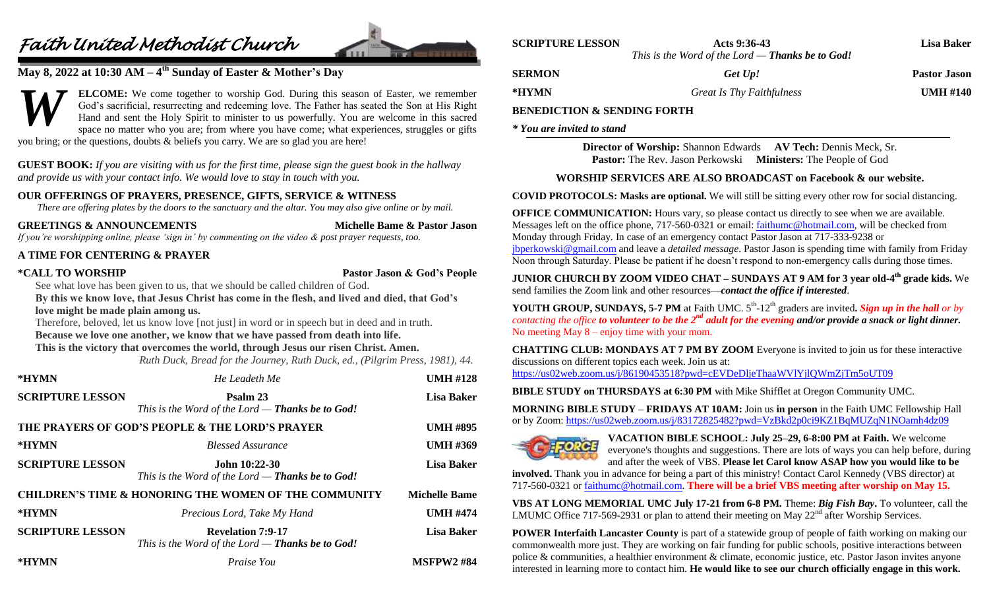## *Faith United Methodist Church*



### **May 8, 2022 at 10:30 AM – 4 th Sunday of Easter & Mother's Day**

**ELCOME:** We come together to worship God. During this season of Easter, we remember God's sacrificial, resurrecting and redeeming love. The Father has seated the Son at His Right Hand and sent the Holy Spirit to minister to us powerfully. You are welcome in this sacred space no matter who you are; from where you have come; what experiences, struggles or gifts you bring; or the questions, doubts & beliefs you carry. We are so glad you are here! *W*

**GUEST BOOK:** *If you are visiting with us for the first time, please sign the guest book in the hallway and provide us with your contact info. We would love to stay in touch with you.*

### **OUR OFFERINGS OF PRAYERS, PRESENCE, GIFTS, SERVICE & WITNESS**

*There are offering plates by the doors to the sanctuary and the altar. You may also give online or by mail.*

### **GREETINGS & ANNOUNCEMENTS Michelle Bame & Pastor Jason**

*If you're worshipping online, please 'sign in' by commenting on the video & post prayer requests, too.*

### **A TIME FOR CENTERING & PRAYER**

**\*CALL TO WORSHIP Pastor Jason & God's People**

See what love has been given to us, that we should be called children of God. **By this we know love, that Jesus Christ has come in the flesh, and lived and died, that God's** 

### **love might be made plain among us.**

Therefore, beloved, let us know love [not just] in word or in speech but in deed and in truth. **Because we love one another, we know that we have passed from death into life.**

### **This is the victory that overcomes the world, through Jesus our risen Christ. Amen.**

*Ruth Duck, Bread for the Journey, Ruth Duck, ed., (Pilgrim Press, 1981), 44.*

| *HYMN                   | He Leadeth Me                                                                  | <b>UMH #128</b>      |
|-------------------------|--------------------------------------------------------------------------------|----------------------|
| <b>SCRIPTURE LESSON</b> | Psalm 23<br>This is the Word of the Lord $-$ Thanks be to God!                 | <b>Lisa Baker</b>    |
|                         | THE PRAYERS OF GOD'S PEOPLE & THE LORD'S PRAYER                                | <b>UMH #895</b>      |
| *HYMN                   | <b>Blessed Assurance</b>                                                       | <b>UMH #369</b>      |
| <b>SCRIPTURE LESSON</b> | John 10:22-30<br>This is the Word of the Lord — Thanks be to God!              | <b>Lisa Baker</b>    |
|                         | <b>CHILDREN'S TIME &amp; HONORING THE WOMEN OF THE COMMUNITY</b>               | <b>Michelle Bame</b> |
| *HYMN                   | Precious Lord, Take My Hand                                                    | <b>UMH #474</b>      |
| <b>SCRIPTURE LESSON</b> | <b>Revelation 7:9-17</b><br>This is the Word of the Lord $-$ Thanks be to God! | <b>Lisa Baker</b>    |
| *HYMN                   | Praise You                                                                     | <b>MSFPW2#84</b>     |

| <b>SCRIPTURE LESSON</b> | Acts 9:36-43                                            | Lisa Baker          |
|-------------------------|---------------------------------------------------------|---------------------|
|                         | This is the Word of the Lord — <b>Thanks be to God!</b> |                     |
| <b>SERMON</b>           | Get Up!                                                 | <b>Pastor Jason</b> |
| *HYMN                   | Great Is Thy Faithfulness                               | <b>UMH #140</b>     |

### **BENEDICTION & SENDING FORTH**

*\* You are invited to stand*

**Director of Worship:** Shannon Edwards **AV Tech:** Dennis Meck, Sr. **Pastor:** The Rev. Jason Perkowski **Ministers:** The People of God

### **WORSHIP SERVICES ARE ALSO BROADCAST on Facebook & our website.**

**COVID PROTOCOLS: Masks are optional.** We will still be sitting every other row for social distancing.

**OFFICE COMMUNICATION:** Hours vary, so please contact us directly to see when we are available. Messages left on the office phone, 717-560-0321 or email: [faithumc@hotmail.com,](mailto:faithumc@hotmail.com) will be checked from Monday through Friday. In case of an emergency contact Pastor Jason at 717-333-9238 or [jbperkowski@gmail.com](mailto:jbperkowski@gmail.com) and leave a *detailed message*. Pastor Jason is spending time with family from Friday Noon through Saturday. Please be patient if he doesn't respond to non-emergency calls during those times.

**JUNIOR CHURCH BY ZOOM VIDEO CHAT – SUNDAYS AT 9 AM for 3 year old-4 th grade kids.** We send families the Zoom link and other resources—*contact the office if interested*.

**YOUTH GROUP, SUNDAYS, 5-7 PM** at Faith UMC.  $5<sup>th</sup>$ -12<sup>th</sup> graders are invited. Sign up in the hall or by *contacting the office to volunteer to be the 2nd adult for the evening and/or provide a snack or light dinner.* No meeting May 8 – enjoy time with your mom.

**CHATTING CLUB: MONDAYS AT 7 PM BY ZOOM** Everyone is invited to join us for these interactive discussions on different topics each week. Join us at: <https://us02web.zoom.us/j/86190453518?pwd=cEVDeDljeThaaWVlYjlQWmZjTm5oUT09>

**BIBLE STUDY on THURSDAYS at 6:30 PM** with Mike Shifflet at Oregon Community UMC.

**MORNING BIBLE STUDY – FRIDAYS AT 10AM:** Join us **in person** in the Faith UMC Fellowship Hall or by Zoom: <https://us02web.zoom.us/j/83172825482?pwd=VzBkd2p0ci9KZ1BqMUZqN1NOamh4dz09>



**VACATION BIBLE SCHOOL: July 25–29, 6-8:00 PM at Faith.** We welcome everyone's thoughts and suggestions. There are lots of ways you can help before, during and after the week of VBS. **Please let Carol know ASAP how you would like to be** 

**involved.** Thank you in advance for being a part of this ministry! Contact Carol Kennedy (VBS director) at 717-560-0321 o[r faithumc@hotmail.com.](mailto:faithumc@hotmail.com) **There will be a brief VBS meeting after worship on May 15.**

**VBS AT LONG MEMORIAL UMC July 17-21 from 6-8 PM.** Theme: *Big Fish Bay***.** To volunteer, call the LMUMC Office 717-569-2931 or plan to attend their meeting on May  $22<sup>nd</sup>$  after Worship Services.

**POWER Interfaith Lancaster County** is part of a statewide group of people of faith working on making our commonwealth more just. They are working on fair funding for public schools, positive interactions between police & communities, a healthier environment & climate, economic justice, etc. Pastor Jason invites anyone interested in learning more to contact him. **He would like to see our church officially engage in this work.**